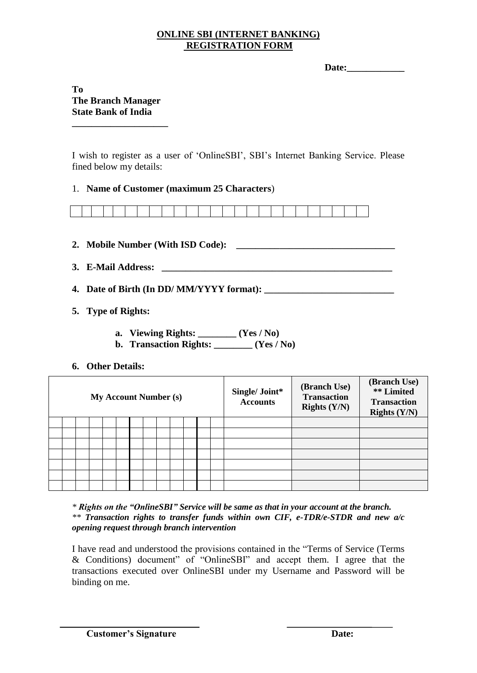### **ONLINE SBI (INTERNET BANKING) REGISTRATION FORM**

| Date: |  |  |
|-------|--|--|
|       |  |  |
|       |  |  |
|       |  |  |
|       |  |  |
|       |  |  |
|       |  |  |

## **To The Branch Manager State Bank of India**

**\_\_\_\_\_\_\_\_\_\_\_\_\_\_\_\_\_\_\_\_**

I wish to register as a user of "OnlineSBI", SBI"s Internet Banking Service. Please fined below my details:

### 1. **Name of Customer (maximum 25 Characters**)



- **2. Mobile Number (With ISD Code): \_\_\_\_\_\_\_\_\_\_\_\_\_\_\_\_\_\_\_\_\_\_\_\_\_\_\_\_\_\_\_\_\_**
- **3. E-Mail Address: \_\_\_\_\_\_\_\_\_\_\_\_\_\_\_\_\_\_\_\_\_\_\_\_\_\_\_\_\_\_\_\_\_\_\_\_\_\_\_\_\_\_\_\_\_\_\_\_**
- **4. Date of Birth (In DD/ MM/YYYY format): \_\_\_\_\_\_\_\_\_\_\_\_\_\_\_\_\_\_\_\_\_\_\_\_\_\_\_**
- **5. Type of Rights:** 
	- **a. Viewing Rights: \_\_\_\_\_\_\_\_ (Yes / No)**
	- **b. Transaction Rights: \_\_\_\_\_\_\_\_ (Yes / No)**
- **6. Other Details:**

| <b>My Account Number (s)</b> |  |  |  |  |  |  |  |  |  |  | Single/ Joint*<br><b>Accounts</b> | (Branch Use)<br><b>Transaction</b><br>Rights $(Y/N)$ | (Branch Use)<br><b>**</b> Limited<br><b>Transaction</b><br>Rights $(Y/N)$ |
|------------------------------|--|--|--|--|--|--|--|--|--|--|-----------------------------------|------------------------------------------------------|---------------------------------------------------------------------------|
|                              |  |  |  |  |  |  |  |  |  |  |                                   |                                                      |                                                                           |
|                              |  |  |  |  |  |  |  |  |  |  |                                   |                                                      |                                                                           |
|                              |  |  |  |  |  |  |  |  |  |  |                                   |                                                      |                                                                           |
|                              |  |  |  |  |  |  |  |  |  |  |                                   |                                                      |                                                                           |
|                              |  |  |  |  |  |  |  |  |  |  |                                   |                                                      |                                                                           |
|                              |  |  |  |  |  |  |  |  |  |  |                                   |                                                      |                                                                           |
|                              |  |  |  |  |  |  |  |  |  |  |                                   |                                                      |                                                                           |

*\* Rights on the "OnlineSBI" Service will be same as that in your account at the branch. \*\* Transaction rights to transfer funds within own CIF, e-TDR/e-STDR and new a/c opening request through branch intervention*

I have read and understood the provisions contained in the "Terms of Service (Terms & Conditions) document" of "OnlineSBI" and accept them. I agree that the transactions executed over OnlineSBI under my Username and Password will be binding on me.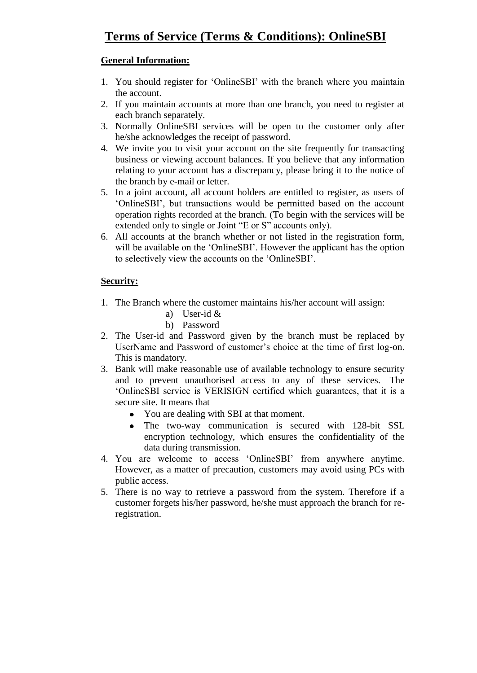# **General Information:**

- 1. You should register for "OnlineSBI" with the branch where you maintain the account.
- 2. If you maintain accounts at more than one branch, you need to register at each branch separately.
- 3. Normally OnlineSBI services will be open to the customer only after he/she acknowledges the receipt of password.
- 4. We invite you to visit your account on the site frequently for transacting business or viewing account balances. If you believe that any information relating to your account has a discrepancy, please bring it to the notice of the branch by e-mail or letter.
- 5. In a joint account, all account holders are entitled to register, as users of "OnlineSBI", but transactions would be permitted based on the account operation rights recorded at the branch. (To begin with the services will be extended only to single or Joint "E or S" accounts only).
- 6. All accounts at the branch whether or not listed in the registration form, will be available on the 'OnlineSBI'. However the applicant has the option to selectively view the accounts on the "OnlineSBI".

## **Security:**

- 1. The Branch where the customer maintains his/her account will assign:
	- a) User-id &
	- b) Password
- 2. The User-id and Password given by the branch must be replaced by UserName and Password of customer"s choice at the time of first log-on. This is mandatory.
- 3. Bank will make reasonable use of available technology to ensure security and to prevent unauthorised access to any of these services. The "OnlineSBI service is VERISIGN certified which guarantees, that it is a secure site. It means that
	- You are dealing with SBI at that moment.
	- The two-way communication is secured with 128-bit SSL  $\bullet$ encryption technology, which ensures the confidentiality of the data during transmission.
- 4. You are welcome to access "OnlineSBI" from anywhere anytime. However, as a matter of precaution, customers may avoid using PCs with public access.
- 5. There is no way to retrieve a password from the system. Therefore if a customer forgets his/her password, he/she must approach the branch for reregistration.